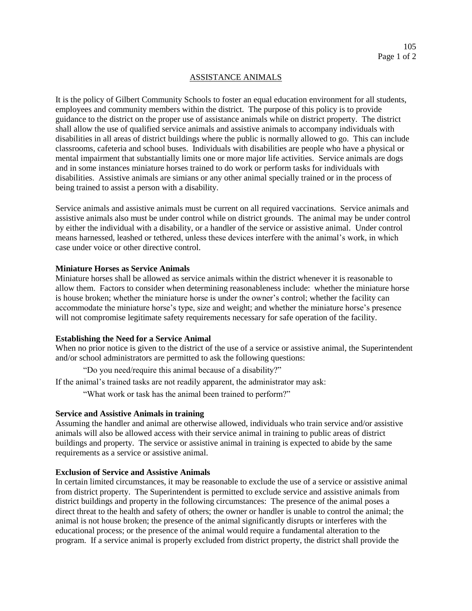# ASSISTANCE ANIMALS

It is the policy of Gilbert Community Schools to foster an equal education environment for all students, employees and community members within the district. The purpose of this policy is to provide guidance to the district on the proper use of assistance animals while on district property. The district shall allow the use of qualified service animals and assistive animals to accompany individuals with disabilities in all areas of district buildings where the public is normally allowed to go. This can include classrooms, cafeteria and school buses. Individuals with disabilities are people who have a physical or mental impairment that substantially limits one or more major life activities. Service animals are dogs and in some instances miniature horses trained to do work or perform tasks for individuals with disabilities. Assistive animals are simians or any other animal specially trained or in the process of being trained to assist a person with a disability.

Service animals and assistive animals must be current on all required vaccinations. Service animals and assistive animals also must be under control while on district grounds. The animal may be under control by either the individual with a disability, or a handler of the service or assistive animal. Under control means harnessed, leashed or tethered, unless these devices interfere with the animal's work, in which case under voice or other directive control.

#### **Miniature Horses as Service Animals**

Miniature horses shall be allowed as service animals within the district whenever it is reasonable to allow them. Factors to consider when determining reasonableness include: whether the miniature horse is house broken; whether the miniature horse is under the owner's control; whether the facility can accommodate the miniature horse's type, size and weight; and whether the miniature horse's presence will not compromise legitimate safety requirements necessary for safe operation of the facility.

# **Establishing the Need for a Service Animal**

When no prior notice is given to the district of the use of a service or assistive animal, the Superintendent and/or school administrators are permitted to ask the following questions:

"Do you need/require this animal because of a disability?"

If the animal's trained tasks are not readily apparent, the administrator may ask:

"What work or task has the animal been trained to perform?"

# **Service and Assistive Animals in training**

Assuming the handler and animal are otherwise allowed, individuals who train service and/or assistive animals will also be allowed access with their service animal in training to public areas of district buildings and property. The service or assistive animal in training is expected to abide by the same requirements as a service or assistive animal.

# **Exclusion of Service and Assistive Animals**

In certain limited circumstances, it may be reasonable to exclude the use of a service or assistive animal from district property. The Superintendent is permitted to exclude service and assistive animals from district buildings and property in the following circumstances: The presence of the animal poses a direct threat to the health and safety of others; the owner or handler is unable to control the animal; the animal is not house broken; the presence of the animal significantly disrupts or interferes with the educational process; or the presence of the animal would require a fundamental alteration to the program. If a service animal is properly excluded from district property, the district shall provide the